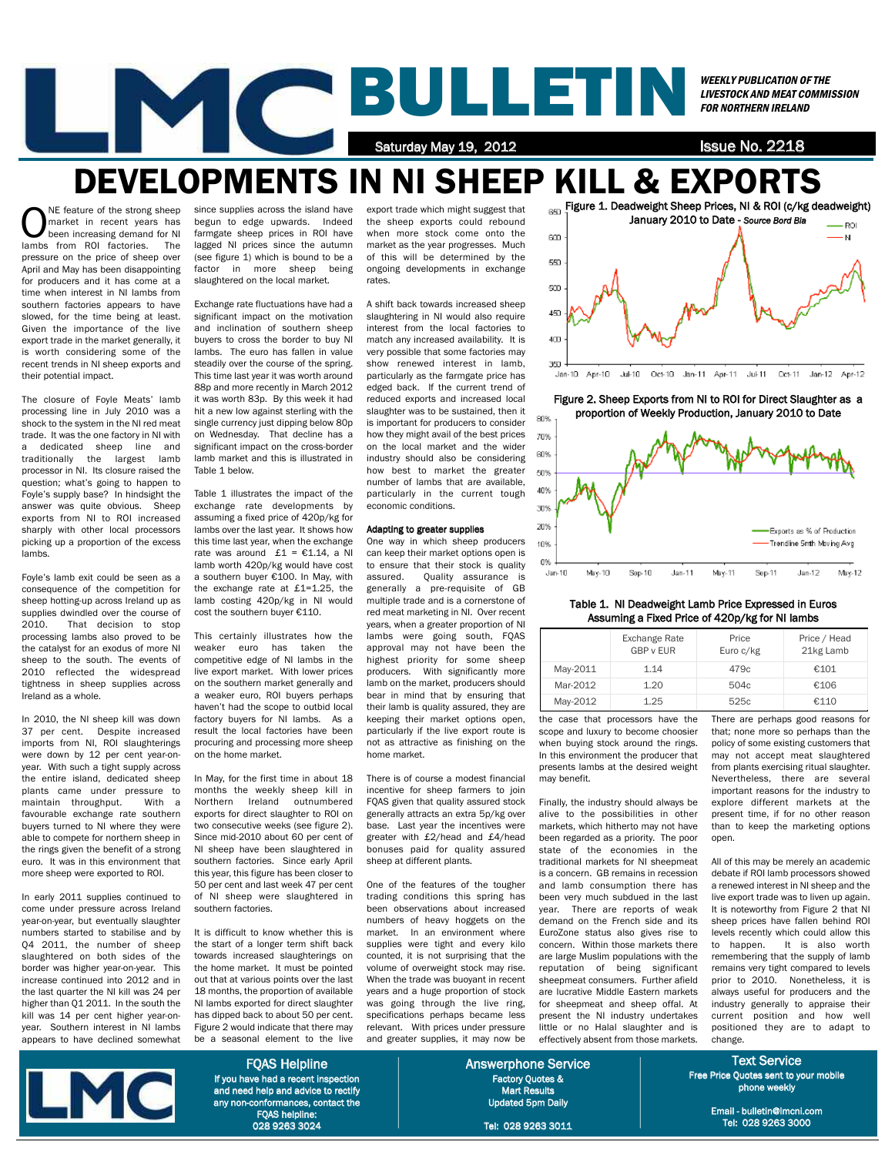## BULLETIN Saturday May 19, 2012 **ISSUE No. 2218** WEEKLY PUBLICATION OF THE LIVESTOCK AND MEAT COMMISSION FOR NORTHERN IRELAND

# DEVELOPMENTS IN NI SHEEP KILL & EXPORTS

ONE feature of the strong sheep<br>market in recent years has<br>been increasing demand for NI<br>lambs from POL factories The market in recent years has been increasing demand for NI lambs from ROI factories. The pressure on the price of sheep over April and May has been disappointing for producers and it has come at a time when interest in NI lambs from southern factories appears to have slowed, for the time being at least. Given the importance of the live export trade in the market generally, it is worth considering some of the recent trends in NI sheep exports and their potential impact.

The closure of Foyle Meats' lamb processing line in July 2010 was a shock to the system in the NI red meat trade. It was the one factory in NI with<br>a dedicated sheep line and a dedicated sheep line traditionally the largest lamb processor in NI. Its closure raised the question; what's going to happen to Foyle's supply base? In hindsight the answer was quite obvious. Sheep exports from NI to ROI increased sharply with other local processors picking up a proportion of the excess lambs.

Foyle's lamb exit could be seen as a consequence of the competition for sheep hotting-up across Ireland up as supplies dwindled over the course of 2010. That decision to stop processing lambs also proved to be the catalyst for an exodus of more NI sheep to the south. The events of 2010 reflected the widespread tightness in sheep supplies across Ireland as a whole.

In 2010, the NI sheep kill was down 37 per cent. Despite increased imports from NI, ROI slaughterings were down by 12 per cent year-onyear. With such a tight supply across the entire island, dedicated sheep plants came under pressure to maintain throughput. With a favourable exchange rate southern buyers turned to NI where they were able to compete for northern sheep in the rings given the benefit of a strong euro. It was in this environment that more sheep were exported to ROI.

In early 2011 supplies continued to come under pressure across Ireland year-on-year, but eventually slaughter numbers started to stabilise and by Q4 2011, the number of sheep slaughtered on both sides of the border was higher year-on-year. This increase continued into 2012 and in the last quarter the NI kill was 24 per higher than Q1 2011. In the south the kill was 14 per cent higher year-onyear. Southern interest in NI lambs appears to have declined somewhat

since supplies across the island have begun to edge upwards. Indeed farmgate sheep prices in ROI have lagged NI prices since the autumn (see figure 1) which is bound to be a factor in more sheep being slaughtered on the local market.

Exchange rate fluctuations have had a significant impact on the motivation and inclination of southern sheep buyers to cross the border to buy NI lambs. The euro has fallen in value steadily over the course of the spring. This time last year it was worth around 88p and more recently in March 2012 it was worth 83p. By this week it had hit a new low against sterling with the single currency just dipping below 80p on Wednesday. That decline has a significant impact on the cross-border lamb market and this is illustrated in Table 1 below.

Table 1 illustrates the impact of the exchange rate developments by assuming a fixed price of 420p/kg for lambs over the last year. It shows how this time last year, when the exchange rate was around  $£1 = €1.14$ , a NI lamb worth 420p/kg would have cost a southern buyer €100. In May, with the exchange rate at £1=1.25, the lamb costing 420p/kg in NI would cost the southern buyer €110.

This certainly illustrates how the weaker euro has taken the competitive edge of NI lambs in the live export market. With lower prices on the southern market generally and a weaker euro, ROI buyers perhaps haven't had the scope to outbid local factory buyers for NI lambs. As a result the local factories have been procuring and processing more sheep on the home market.

In May, for the first time in about 18 months the weekly sheep kill in Northern Ireland outnumbered exports for direct slaughter to ROI on two consecutive weeks (see figure 2). Since mid-2010 about 60 per cent of NI sheep have been slaughtered in southern factories. Since early April this year, this figure has been closer to 50 per cent and last week 47 per cent of NI sheep were slaughtered in southern factories.

It is difficult to know whether this is the start of a longer term shift back towards increased slaughterings on the home market. It must be pointed out that at various points over the last 18 months, the proportion of available NI lambs exported for direct slaughter has dipped back to about 50 per cent. Figure 2 would indicate that there may be a seasonal element to the live

export trade which might suggest that the sheep exports could rebound when more stock come onto the market as the year progresses. Much of this will be determined by the ongoing developments in exchange rates.

A shift back towards increased sheep slaughtering in NI would also require interest from the local factories to match any increased availability. It is very possible that some factories may show renewed interest in lamb, particularly as the farmgate price has edged back. If the current trend of reduced exports and increased local slaughter was to be sustained, then it is important for producers to consider how they might avail of the best prices on the local market and the wider industry should also be considering how best to market the greater number of lambs that are available, particularly in the current tough economic conditions.

#### Adapting to greater supplies

One way in which sheep producers can keep their market options open is to ensure that their stock is quality assured. Quality assurance is generally a pre-requisite of GB multiple trade and is a cornerstone of red meat marketing in NI. Over recent years, when a greater proportion of NI lambs were going south, FQAS approval may not have been the highest priority for some sheep producers. With significantly more lamb on the market, producers should bear in mind that by ensuring that their lamb is quality assured, they are keeping their market options open, particularly if the live export route is not as attractive as finishing on the home market.

There is of course a modest financial incentive for sheep farmers to join FQAS given that quality assured stock generally attracts an extra 5p/kg over base. Last year the incentives were greater with £2/head and £4/head bonuses paid for quality assured sheep at different plants.

One of the features of the tougher trading conditions this spring has been observations about increased numbers of heavy hoggets on the market. In an environment where supplies were tight and every kilo counted, it is not surprising that the volume of overweight stock may rise. When the trade was buoyant in recent years and a huge proportion of stock was going through the live ring, specifications perhaps became less relevant. With prices under pressure and greater supplies, it may now be



Figure 2. Sheep Exports from NI to ROI for Direct Slaughter as a proportion of Weekly Production, January 2010 to Date



### Table 1. NI Deadweight Lamb Price Expressed in Euros Assuming a Fixed Price of 420p/kg for NI lambs

|          | Exchange Rate<br><b>GBP v EUR</b> | Price<br>Euro c/kg | Price / Head<br>21kg Lamb |
|----------|-----------------------------------|--------------------|---------------------------|
| May-2011 | 1.14                              | 479c               | €101                      |
| Mar-2012 | 1.20                              | 504c               | €106                      |
| May-2012 | 1.25                              | 525c               | €110                      |

the case that processors have the scope and luxury to become choosier when buying stock around the rings. In this environment the producer that presents lambs at the desired weight may benefit.

Finally, the industry should always be alive to the possibilities in other markets, which hitherto may not have been regarded as a priority. The poor state of the economies in the traditional markets for NI sheepmeat is a concern. GB remains in recession and lamb consumption there has been very much subdued in the last year. There are reports of weak demand on the French side and its EuroZone status also gives rise to concern. Within those markets there are large Muslim populations with the reputation of being significant sheepmeat consumers. Further afield are lucrative Middle Eastern markets for sheepmeat and sheep offal. At present the NI industry undertakes little or no Halal slaughter and is effectively absent from those markets.

There are perhaps good reasons for that; none more so perhaps than the policy of some existing customers that may not accept meat slaughtered from plants exercising ritual slaughter. Nevertheless, there are several important reasons for the industry to explore different markets at the present time, if for no other reason than to keep the marketing options open.

All of this may be merely an academic debate if ROI lamb processors showed a renewed interest in NI sheep and the live export trade was to liven up again. It is noteworthy from Figure 2 that NI sheep prices have fallen behind ROI levels recently which could allow this to happen. It is also worth remembering that the supply of lamb remains very tight compared to levels prior to 2010. Nonetheless, it is always useful for producers and the industry generally to appraise their current position and how well positioned they are to adapt to change.

Text Service Free Price Quotes sent to your mobile phone weekly

> Email - bulletin@lmcni.com Tel: 028 9263 3000



FQAS Helpline If you have had a recent inspection and need help and advice to rectify any non-conformances, contact the FQAS helpline: 028 9263 3024

Answerphone Service Factory Quotes & Mart Results Updated 5pm Daily

Tel: 028 9263 3011